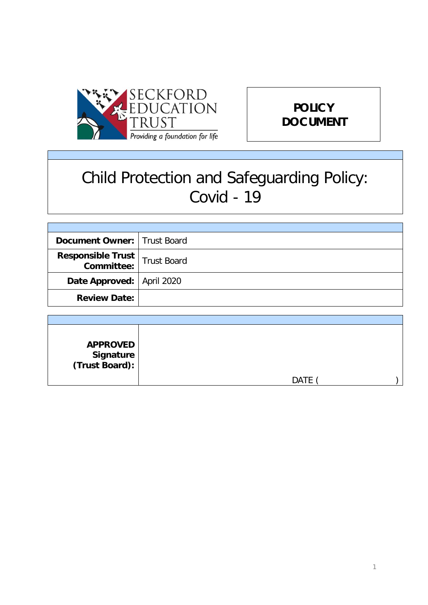



# Child Protection and Safeguarding Policy: Covid - 19

| <b>Document Owner:   Trust Board</b> |             |
|--------------------------------------|-------------|
| Responsible Trust<br>  Committee:    | Trust Board |
| Date Approved:   April 2020          |             |
| <b>Review Date:</b>                  |             |

| <b>APPROVED</b><br>  Signature<br>  (Trust Board): |             |  |
|----------------------------------------------------|-------------|--|
|                                                    | <b>DATE</b> |  |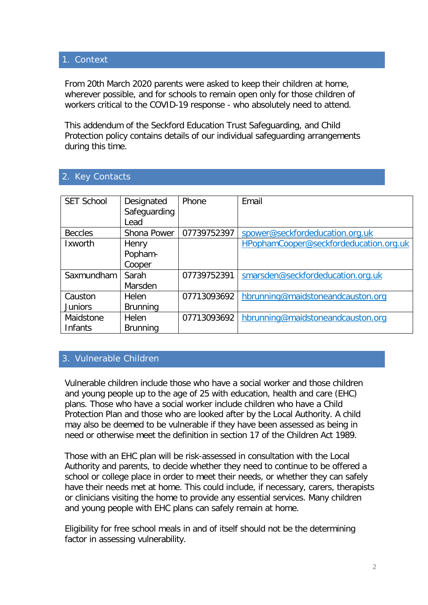#### 1. Context

From 20th March 2020 parents were asked to keep their children at home, wherever possible, and for schools to remain open only for those children of workers critical to the COVID-19 response - who absolutely need to attend.

This addendum of the Seckford Education Trust Safeguarding, and Child Protection policy contains details of our individual safeguarding arrangements during this time.

#### 2. Key Contacts

| <b>SET School</b> | Designated      | Phone       | Email                                  |
|-------------------|-----------------|-------------|----------------------------------------|
|                   | Safequarding    |             |                                        |
|                   | Lead            |             |                                        |
| <b>Beccles</b>    | Shona Power     | 07739752397 | spower@seckfordeducation.org.uk        |
| Ixworth           | Henry           |             | HPophamCooper@seckfordeducation.org.uk |
|                   | Popham-         |             |                                        |
|                   | Cooper          |             |                                        |
| Saxmundham        | Sarah           | 07739752391 | smarsden@seckfordeducation.org.uk      |
|                   | Marsden         |             |                                        |
| Causton           | Helen           | 07713093692 | hbrunning@maidstoneandcauston.org      |
| <b>Juniors</b>    | <b>Brunning</b> |             |                                        |
| Maidstone         | Helen           | 07713093692 | hbrunning@maidstoneandcauston.org      |
| <b>Infants</b>    | <b>Brunning</b> |             |                                        |

# 3. Vulnerable Children

Vulnerable children include those who have a social worker and those children and young people up to the age of 25 with education, health and care (EHC) plans. Those who have a social worker include children who have a Child Protection Plan and those who are looked after by the Local Authority. A child may also be deemed to be vulnerable if they have been assessed as being in need or otherwise meet the definition in section 17 of the Children Act 1989.

Those with an EHC plan will be risk-assessed in consultation with the Local Authority and parents, to decide whether they need to continue to be offered a school or college place in order to meet their needs, or whether they can safely have their needs met at home. This could include, if necessary, carers, therapists or clinicians visiting the home to provide any essential services. Many children and young people with EHC plans can safely remain at home.

Eligibility for free school meals in and of itself should not be the determining factor in assessing vulnerability.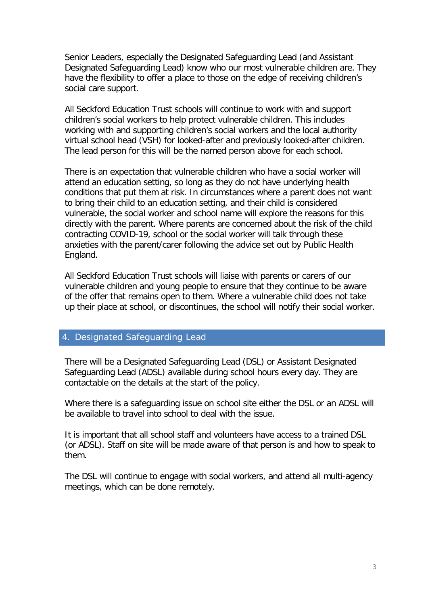Senior Leaders, especially the Designated Safeguarding Lead (and Assistant Designated Safeguarding Lead) know who our most vulnerable children are. They have the flexibility to offer a place to those on the edge of receiving children's social care support.

All Seckford Education Trust schools will continue to work with and support children's social workers to help protect vulnerable children. This includes working with and supporting children's social workers and the local authority virtual school head (VSH) for looked-after and previously looked-after children. The lead person for this will be the named person above for each school.

There is an expectation that vulnerable children who have a social worker will attend an education setting, so long as they do not have underlying health conditions that put them at risk. In circumstances where a parent does not want to bring their child to an education setting, and their child is considered vulnerable, the social worker and school name will explore the reasons for this directly with the parent. Where parents are concerned about the risk of the child contracting COVID-19, school or the social worker will talk through these anxieties with the parent/carer following the advice set out by Public Health England.

All Seckford Education Trust schools will liaise with parents or carers of our vulnerable children and young people to ensure that they continue to be aware of the offer that remains open to them. Where a vulnerable child does not take up their place at school, or discontinues, the school will notify their social worker.

#### 4. Designated Safeguarding Lead

There will be a Designated Safeguarding Lead (DSL) or Assistant Designated Safeguarding Lead (ADSL) available during school hours every day. They are contactable on the details at the start of the policy.

Where there is a safeguarding issue on school site either the DSL or an ADSL will be available to travel into school to deal with the issue.

It is important that all school staff and volunteers have access to a trained DSL (or ADSL). Staff on site will be made aware of that person is and how to speak to them.

The DSL will continue to engage with social workers, and attend all multi-agency meetings, which can be done remotely.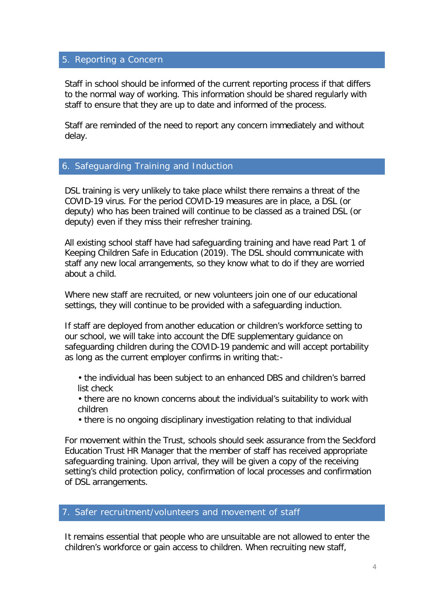# 5. Reporting a Concern

Staff in school should be informed of the current reporting process if that differs to the normal way of working. This information should be shared regularly with staff to ensure that they are up to date and informed of the process.

Staff are reminded of the need to report any concern immediately and without delay.

# 6. Safeguarding Training and Induction

DSL training is very unlikely to take place whilst there remains a threat of the COVID-19 virus. For the period COVID-19 measures are in place, a DSL (or deputy) who has been trained will continue to be classed as a trained DSL (or deputy) even if they miss their refresher training.

All existing school staff have had safeguarding training and have read Part 1 of Keeping Children Safe in Education (2019). The DSL should communicate with staff any new local arrangements, so they know what to do if they are worried about a child.

Where new staff are recruited, or new volunteers join one of our educational settings, they will continue to be provided with a safeguarding induction.

If staff are deployed from another education or children's workforce setting to our school, we will take into account the DfE supplementary guidance on safeguarding children during the COVID-19 pandemic and will accept portability as long as the current employer confirms in writing that:-

• the individual has been subject to an enhanced DBS and children's barred list check

• there are no known concerns about the individual's suitability to work with children

• there is no ongoing disciplinary investigation relating to that individual

For movement within the Trust, schools should seek assurance from the Seckford Education Trust HR Manager that the member of staff has received appropriate safeguarding training. Upon arrival, they will be given a copy of the receiving setting's child protection policy, confirmation of local processes and confirmation of DSL arrangements.

#### 7. Safer recruitment/volunteers and movement of staff

It remains essential that people who are unsuitable are not allowed to enter the children's workforce or gain access to children. When recruiting new staff,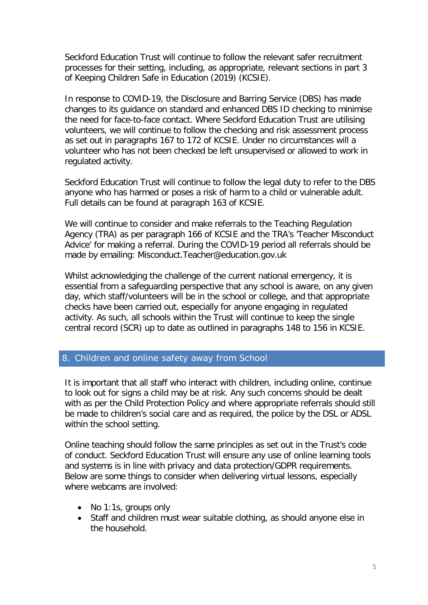Seckford Education Trust will continue to follow the relevant safer recruitment processes for their setting, including, as appropriate, relevant sections in part 3 of Keeping Children Safe in Education (2019) (KCSIE).

In response to COVID-19, the Disclosure and Barring Service (DBS) has made changes to its guidance on standard and enhanced DBS ID checking to minimise the need for face-to-face contact. Where Seckford Education Trust are utilising volunteers, we will continue to follow the checking and risk assessment process as set out in paragraphs 167 to 172 of KCSIE. Under no circumstances will a volunteer who has not been checked be left unsupervised or allowed to work in regulated activity.

Seckford Education Trust will continue to follow the legal duty to refer to the DBS anyone who has harmed or poses a risk of harm to a child or vulnerable adult. Full details can be found at paragraph 163 of KCSIE.

We will continue to consider and make referrals to the Teaching Regulation Agency (TRA) as per paragraph 166 of KCSIE and the TRA's 'Teacher Misconduct Advice' for making a referral. During the COVID-19 period all referrals should be made by emailing: Misconduct.Teacher@education.gov.uk

Whilst acknowledging the challenge of the current national emergency, it is essential from a safeguarding perspective that any school is aware, on any given day, which staff/volunteers will be in the school or college, and that appropriate checks have been carried out, especially for anyone engaging in regulated activity. As such, all schools within the Trust will continue to keep the single central record (SCR) up to date as outlined in paragraphs 148 to 156 in KCSIE.

# 8. Children and online safety away from School

It is important that all staff who interact with children, including online, continue to look out for signs a child may be at risk. Any such concerns should be dealt with as per the Child Protection Policy and where appropriate referrals should still be made to children's social care and as required, the police by the DSL or ADSL within the school setting.

Online teaching should follow the same principles as set out in the Trust's code of conduct. Seckford Education Trust will ensure any use of online learning tools and systems is in line with privacy and data protection/GDPR requirements. Below are some things to consider when delivering virtual lessons, especially where webcams are involved:

- No 1:1s, groups only
- Staff and children must wear suitable clothing, as should anyone else in the household.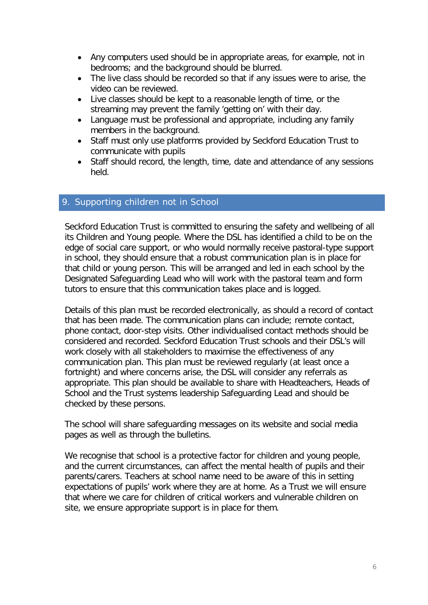- Any computers used should be in appropriate areas, for example, not in bedrooms; and the background should be blurred.
- The live class should be recorded so that if any issues were to arise, the video can be reviewed.
- Live classes should be kept to a reasonable length of time, or the streaming may prevent the family 'getting on' with their day.
- Language must be professional and appropriate, including any family members in the background.
- Staff must only use platforms provided by Seckford Education Trust to communicate with pupils
- Staff should record, the length, time, date and attendance of any sessions held.

# 9. Supporting children not in School

Seckford Education Trust is committed to ensuring the safety and wellbeing of all its Children and Young people. Where the DSL has identified a child to be on the edge of social care support, or who would normally receive pastoral-type support in school, they should ensure that a robust communication plan is in place for that child or young person. This will be arranged and led in each school by the Designated Safeguarding Lead who will work with the pastoral team and form tutors to ensure that this communication takes place and is logged.

Details of this plan must be recorded electronically, as should a record of contact that has been made. The communication plans can include; remote contact, phone contact, door-step visits. Other individualised contact methods should be considered and recorded. Seckford Education Trust schools and their DSL's will work closely with all stakeholders to maximise the effectiveness of any communication plan. This plan must be reviewed regularly (at least once a fortnight) and where concerns arise, the DSL will consider any referrals as appropriate. This plan should be available to share with Headteachers, Heads of School and the Trust systems leadership Safeguarding Lead and should be checked by these persons.

The school will share safeguarding messages on its website and social media pages as well as through the bulletins.

We recognise that school is a protective factor for children and young people, and the current circumstances, can affect the mental health of pupils and their parents/carers. Teachers at school name need to be aware of this in setting expectations of pupils' work where they are at home. As a Trust we will ensure that where we care for children of critical workers and vulnerable children on site, we ensure appropriate support is in place for them.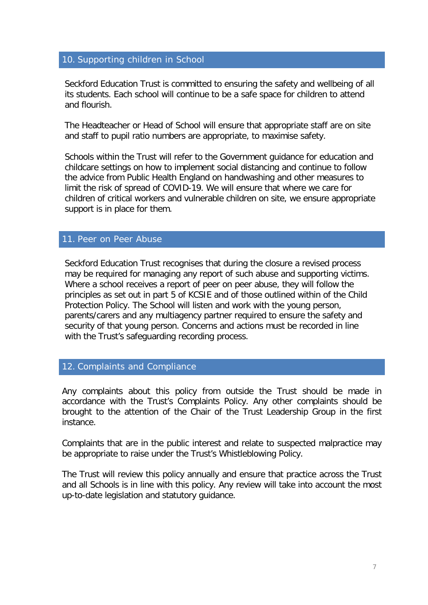# 10. Supporting children in School

Seckford Education Trust is committed to ensuring the safety and wellbeing of all its students. Each school will continue to be a safe space for children to attend and flourish.

The Headteacher or Head of School will ensure that appropriate staff are on site and staff to pupil ratio numbers are appropriate, to maximise safety.

Schools within the Trust will refer to the Government guidance for education and childcare settings on how to implement social distancing and continue to follow the advice from Public Health England on handwashing and other measures to limit the risk of spread of COVID-19. We will ensure that where we care for children of critical workers and vulnerable children on site, we ensure appropriate support is in place for them.

#### 11. Peer on Peer Abuse

Seckford Education Trust recognises that during the closure a revised process may be required for managing any report of such abuse and supporting victims. Where a school receives a report of peer on peer abuse, they will follow the principles as set out in part 5 of KCSIE and of those outlined within of the Child Protection Policy. The School will listen and work with the young person, parents/carers and any multiagency partner required to ensure the safety and security of that young person. Concerns and actions must be recorded in line with the Trust's safeguarding recording process.

# 12. Complaints and Compliance

Any complaints about this policy from outside the Trust should be made in accordance with the Trust's Complaints Policy. Any other complaints should be brought to the attention of the Chair of the Trust Leadership Group in the first instance.

Complaints that are in the public interest and relate to suspected malpractice may be appropriate to raise under the Trust's Whistleblowing Policy.

The Trust will review this policy annually and ensure that practice across the Trust and all Schools is in line with this policy. Any review will take into account the most up-to-date legislation and statutory guidance.